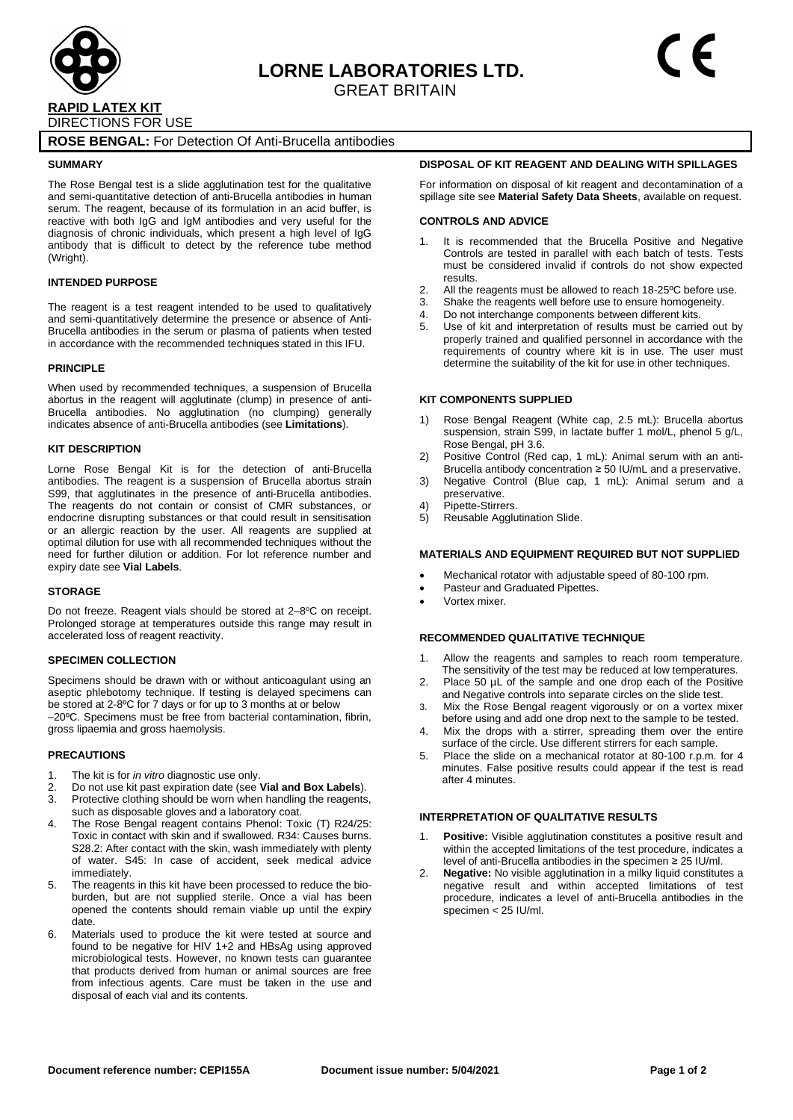

# **ROSE BENGAL:** For Detection Of Anti-Brucella antibodies

### **SUMMARY**

The Rose Bengal test is a slide agglutination test for the qualitative and semi-quantitative detection of anti-Brucella antibodies in human serum. The reagent, because of its formulation in an acid buffer, is reactive with both IgG and IgM antibodies and very useful for the diagnosis of chronic individuals, which present a high level of IgG antibody that is difficult to detect by the reference tube method (Wright).

## **INTENDED PURPOSE**

The reagent is a test reagent intended to be used to qualitatively and semi-quantitatively determine the presence or absence of Anti-Brucella antibodies in the serum or plasma of patients when tested in accordance with the recommended techniques stated in this IFU.

#### **PRINCIPI F**

When used by recommended techniques, a suspension of Brucella abortus in the reagent will agglutinate (clump) in presence of anti-Brucella antibodies. No agglutination (no clumping) generally indicates absence of anti-Brucella antibodies (see **Limitations**).

## **KIT DESCRIPTION**

Lorne Rose Bengal Kit is for the detection of anti-Brucella antibodies. The reagent is a suspension of Brucella abortus strain S99, that agglutinates in the presence of anti-Brucella antibodies. The reagents do not contain or consist of CMR substances, or endocrine disrupting substances or that could result in sensitisation or an allergic reaction by the user. All reagents are supplied at optimal dilution for use with all recommended techniques without the need for further dilution or addition. For lot reference number and expiry date see **Vial Labels**.

#### **STORAGE**

Do not freeze. Reagent vials should be stored at 2-8°C on receipt. Prolonged storage at temperatures outside this range may result in accelerated loss of reagent reactivity.

## **SPECIMEN COLLECTION**

Specimens should be drawn with or without anticoagulant using an aseptic phlebotomy technique. If testing is delayed specimens can be stored at 2-8ºC for 7 days or for up to 3 months at or below –20ºC. Specimens must be free from bacterial contamination, fibrin, gross lipaemia and gross haemolysis.

### **PRECAUTIONS**

- 1. The kit is for *in vitro* diagnostic use only.
- 2. Do not use kit past expiration date (see **Vial and Box Labels**).
- Protective clothing should be worn when handling the reagents, such as disposable gloves and a laboratory coat.
- 4. The Rose Bengal reagent contains Phenol: Toxic (T) R24/25: Toxic in contact with skin and if swallowed. R34: Causes burns. S28.2: After contact with the skin, wash immediately with plenty of water. S45: In case of accident, seek medical advice immediately.
- 5. The reagents in this kit have been processed to reduce the bioburden, but are not supplied sterile. Once a vial has been opened the contents should remain viable up until the expiry date.
- 6. Materials used to produce the kit were tested at source and found to be negative for HIV 1+2 and HBsAg using approved microbiological tests. However, no known tests can guarantee that products derived from human or animal sources are free from infectious agents. Care must be taken in the use and disposal of each vial and its contents.

## **DISPOSAL OF KIT REAGENT AND DEALING WITH SPILLAGES**

For information on disposal of kit reagent and decontamination of a spillage site see **Material Safety Data Sheets**, available on request.

#### **CONTROLS AND ADVICE**

- It is recommended that the Brucella Positive and Negative Controls are tested in parallel with each batch of tests. Tests must be considered invalid if controls do not show expected results.
- 2. All the reagents must be allowed to reach 18-25ºC before use.
- 3. Shake the reagents well before use to ensure homogeneity.
- 4. Do not interchange components between different kits.
- 5. Use of kit and interpretation of results must be carried out by properly trained and qualified personnel in accordance with the requirements of country where kit is in use. The user must determine the suitability of the kit for use in other techniques.

#### **KIT COMPONENTS SUPPLIED**

- 1) Rose Bengal Reagent (White cap, 2.5 mL): Brucella abortus suspension, strain S99, in lactate buffer 1 mol/L, phenol 5 g/L, Rose Bengal, pH 3.6.
- 2) Positive Control (Red cap, 1 mL): Animal serum with an anti-Brucella antibody concentration ≥ 50 IU/mL and a preservative.
- 3) Negative Control (Blue cap, 1 mL): Animal serum and a preservative.
- 4) Pipette-Stirrers.
- 5) Reusable Agglutination Slide.

## **MATERIALS AND EQUIPMENT REQUIRED BUT NOT SUPPLIED**

- Mechanical rotator with adjustable speed of 80-100 rpm.
- Pasteur and Graduated Pipettes.
- Vortex mixer.

### **RECOMMENDED QUALITATIVE TECHNIQUE**

- 1. Allow the reagents and samples to reach room temperature. The sensitivity of the test may be reduced at low temperatures.
- 2. Place 50 µL of the sample and one drop each of the Positive and Negative controls into separate circles on the slide test.
- 3. Mix the Rose Bengal reagent vigorously or on a vortex mixer before using and add one drop next to the sample to be tested.
- 4. Mix the drops with a stirrer, spreading them over the entire surface of the circle. Use different stirrers for each sample.
- 5. Place the slide on a mechanical rotator at 80-100 r.p.m. for 4 minutes. False positive results could appear if the test is read after 4 minutes.

### **INTERPRETATION OF QUALITATIVE RESULTS**

- 1. **Positive:** Visible agglutination constitutes a positive result and within the accepted limitations of the test procedure, indicates a level of anti-Brucella antibodies in the specimen ≥ 25 IU/ml.
- 2. **Negative:** No visible agglutination in a milky liquid constitutes a negative result and within accepted limitations of test procedure, indicates a level of anti-Brucella antibodies in the specimen < 25 IU/ml.